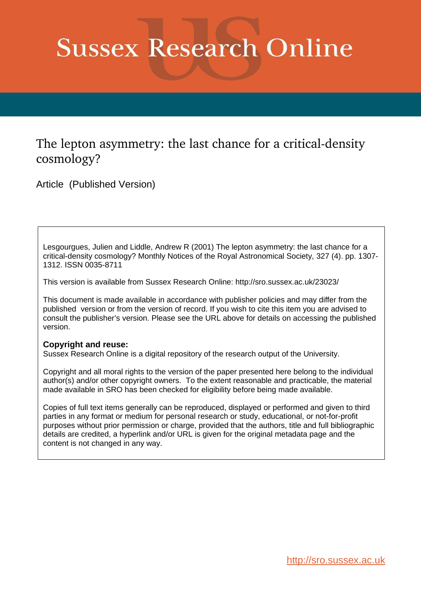# **Sussex Research Online**

# The lepton asymmetry: the last chance for a critical-density cosmology?

Article (Published Version)

Lesgourgues, Julien and Liddle, Andrew R (2001) The lepton asymmetry: the last chance for a critical-density cosmology? Monthly Notices of the Royal Astronomical Society, 327 (4). pp. 1307- 1312. ISSN 0035-8711

This version is available from Sussex Research Online: http://sro.sussex.ac.uk/23023/

This document is made available in accordance with publisher policies and may differ from the published version or from the version of record. If you wish to cite this item you are advised to consult the publisher's version. Please see the URL above for details on accessing the published version.

### **Copyright and reuse:**

Sussex Research Online is a digital repository of the research output of the University.

Copyright and all moral rights to the version of the paper presented here belong to the individual author(s) and/or other copyright owners. To the extent reasonable and practicable, the material made available in SRO has been checked for eligibility before being made available.

Copies of full text items generally can be reproduced, displayed or performed and given to third parties in any format or medium for personal research or study, educational, or not-for-profit purposes without prior permission or charge, provided that the authors, title and full bibliographic details are credited, a hyperlink and/or URL is given for the original metadata page and the content is not changed in any way.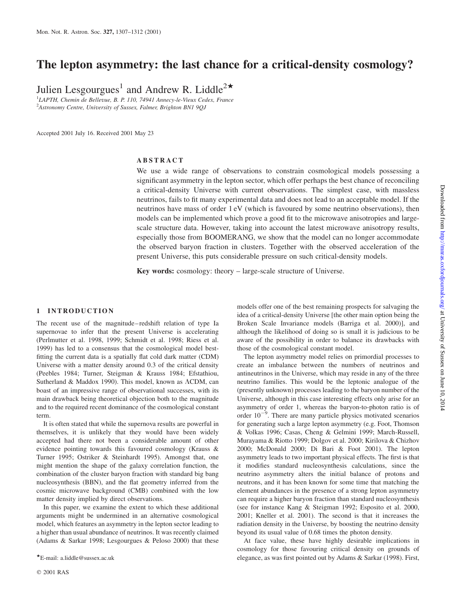## The lepton asymmetry: the last chance for a critical-density cosmology?

Julien Lesgourgues<sup>1</sup> and Andrew R. Liddle<sup>2\*</sup>

<sup>1</sup>LAPTH, Chemin de Bellevue, B. P. 110, 74941 Annecy-le-Vieux Cedex, France <sup>2</sup> Astronomy Centre, University of Sussex, Falmer, Brighton BN1 9QJ

Accepted 2001 July 16. Received 2001 May 23

#### ABSTRACT

We use a wide range of observations to constrain cosmological models possessing a significant asymmetry in the lepton sector, which offer perhaps the best chance of reconciling a critical-density Universe with current observations. The simplest case, with massless neutrinos, fails to fit many experimental data and does not lead to an acceptable model. If the neutrinos have mass of order 1 eV (which is favoured by some neutrino observations), then models can be implemented which prove a good fit to the microwave anisotropies and largescale structure data. However, taking into account the latest microwave anisotropy results, especially those from BOOMERANG, we show that the model can no longer accommodate the observed baryon fraction in clusters. Together with the observed acceleration of the present Universe, this puts considerable pressure on such critical-density models.

Key words: cosmology: theory – large-scale structure of Universe.

#### 1 INTRODUCTION

The recent use of the magnitude – redshift relation of type Ia supernovae to infer that the present Universe is accelerating (Perlmutter et al. 1998, 1999; Schmidt et al. 1998; Riess et al. 1999) has led to a consensus that the cosmological model bestfitting the current data is a spatially flat cold dark matter (CDM) Universe with a matter density around 0.3 of the critical density (Peebles 1984; Turner, Steigman & Krauss 1984; Efstathiou, Sutherland & Maddox 1990). This model, known as  $\Lambda$ CDM, can boast of an impressive range of observational successes, with its main drawback being theoretical objection both to the magnitude and to the required recent dominance of the cosmological constant term.

It is often stated that while the supernova results are powerful in themselves, it is unlikely that they would have been widely accepted had there not been a considerable amount of other evidence pointing towards this favoured cosmology (Krauss & Turner 1995; Ostriker & Steinhardt 1995). Amongst that, one might mention the shape of the galaxy correlation function, the combination of the cluster baryon fraction with standard big bang nucleosynthesis (BBN), and the flat geometry inferred from the cosmic microwave background (CMB) combined with the low matter density implied by direct observations.

In this paper, we examine the extent to which these additional arguments might be undermined in an alternative cosmological model, which features an asymmetry in the lepton sector leading to a higher than usual abundance of neutrinos. It was recently claimed (Adams & Sarkar 1998; Lesgourgues & Peloso 2000) that these

models offer one of the best remaining prospects for salvaging the idea of a critical-density Universe [the other main option being the Broken Scale Invariance models (Barriga et al. 2000)], and although the likelihood of doing so is small it is judicious to be aware of the possibility in order to balance its drawbacks with those of the cosmological constant model.

The lepton asymmetry model relies on primordial processes to create an imbalance between the numbers of neutrinos and antineutrinos in the Universe, which may reside in any of the three neutrino families. This would be the leptonic analogue of the (presently unknown) processes leading to the baryon number of the Universe, although in this case interesting effects only arise for an asymmetry of order 1, whereas the baryon-to-photon ratio is of order  $10^{-9}$ . There are many particle physics motivated scenarios for generating such a large lepton asymmetry (e.g. Foot, Thomson & Volkas 1996; Casas, Cheng & Gelmini 1999; March-Russell, Murayama & Riotto 1999; Dolgov et al. 2000; Kirilova & Chizhov 2000; McDonald 2000; Di Bari & Foot 2001). The lepton asymmetry leads to two important physical effects. The first is that it modifies standard nucleosynthesis calculations, since the neutrino asymmetry alters the initial balance of protons and neutrons, and it has been known for some time that matching the element abundances in the presence of a strong lepton asymmetry can require a higher baryon fraction than standard nucleosynthesis (see for instance Kang & Steigman 1992; Esposito et al. 2000, 2001; Kneller et al. 2001). The second is that it increases the radiation density in the Universe, by boosting the neutrino density beyond its usual value of 0.68 times the photon density.

At face value, these have highly desirable implications in cosmology for those favouring critical density on grounds of elegance, as was first pointed out by Adams & Sarkar (1998). First, <sup>P</sup>

E-mail: a.liddle@sussex.ac.uk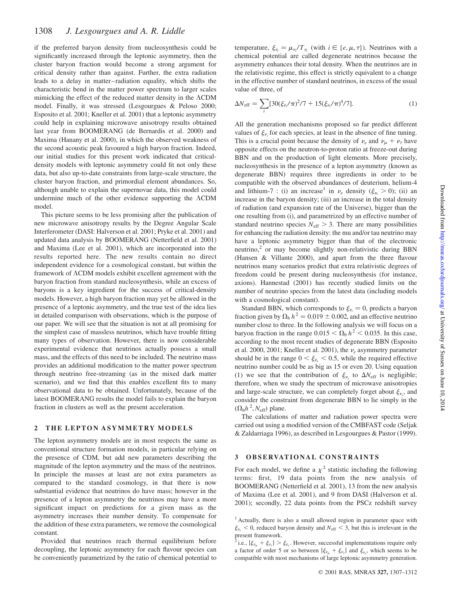if the preferred baryon density from nucleosynthesis could be significantly increased through the leptonic asymmetry, then the cluster baryon fraction would become a strong argument for critical density rather than against. Further, the extra radiation leads to a delay in matter – radiation equality, which shifts the characteristic bend in the matter power spectrum to larger scales mimicking the effect of the reduced matter density in the  $\Lambda$ CDM model. Finally, it was stressed (Lesgourgues & Peloso 2000; Esposito et al. 2001; Kneller et al. 2001) that a leptonic asymmetry could help in explaining microwave anisotropy results obtained last year from BOOMERANG (de Bernardis et al. 2000) and Maxima (Hanany et al. 2000), in which the observed weakness of the second acoustic peak favoured a high baryon fraction. Indeed, our initial studies for this present work indicated that criticaldensity models with leptonic asymmetry could fit not only these data, but also up-to-date constraints from large-scale structure, the cluster baryon fraction, and primordial element abundances. So, although unable to explain the supernovae data, this model could undermine much of the other evidence supporting the  $\Lambda$ CDM model.

This picture seems to be less promising after the publication of new microwave anisotropy results by the Degree Angular Scale Interferometer (DASI: Halverson et al. 2001; Pryke et al. 2001) and updated data analysis by BOOMERANG (Netterfield et al. 2001) and Maxima (Lee et al. 2001), which are incorporated into the results reported here. The new results contain no direct independent evidence for a cosmological constant, but within the framework of  $\Lambda$ CDM models exhibit excellent agreement with the baryon fraction from standard nucleosynthesis, while an excess of baryons is a key ingredient for the success of critical-density models. However, a high baryon fraction may yet be allowed in the presence of a leptonic asymmetry, and the true test of the idea lies in detailed comparison with observations, which is the purpose of our paper. We will see that the situation is not at all promising for the simplest case of massless neutrinos, which have trouble fitting many types of observation. However, there is now considerable experimental evidence that neutrinos actually possess a small mass, and the effects of this need to be included. The neutrino mass provides an additional modification to the matter power spectrum through neutrino free-streaming (as in the mixed dark matter scenario), and we find that this enables excellent fits to many observational data to be obtained. Unfortunately, because of the latest BOOMERANG results the model fails to explain the baryon fraction in clusters as well as the present acceleration.

#### 2 THE LEPTON ASYMMETRY MODELS

The lepton asymmetry models are in most respects the same as conventional structure formation models, in particular relying on the presence of CDM, but add new parameters describing the magnitude of the lepton asymmetry and the mass of the neutrinos. In principle the masses at least are not extra parameters as compared to the standard cosmology, in that there is now substantial evidence that neutrinos do have mass; however in the presence of a lepton asymmetry the neutrinos may have a more significant impact on predictions for a given mass as the asymmetry increases their number density. To compensate for the addition of these extra parameters, we remove the cosmological constant.

Provided that neutrinos reach thermal equilibrium before decoupling, the leptonic asymmetry for each flavour species can be conveniently parametrized by the ratio of chemical potential to

temperature,  $\xi_{\nu_i} = \mu_{\nu_i}/T_{\nu_i}$  (with  $i \in \{e, \mu, \tau\}$ ). Neutrinos with a chemical potential are called degenerate neutrinos because the asymmetry enhances their total density. When the neutrinos are in the relativistic regime, this effect is strictly equivalent to a change in the effective number of standard neutrinos, in excess of the usual value of three, of

$$
\Delta N_{\rm eff} = \sum_{i} [30(\xi_{\nu_i}/\pi)^2 / 7 + 15(\xi_{\nu_i}/\pi)^4 / 7]. \tag{1}
$$

All the generation mechanisms proposed so far predict different values of  $\xi_{\nu_i}$  for each species, at least in the absence of fine tuning. This is a crucial point because the density of  $\nu_e$  and  $\nu_{\mu} + \nu_{\tau}$  have opposite effects on the neutron-to-proton ratio at freeze-out during BBN and on the production of light elements. More precisely, nucleosynthesis in the presence of a lepton asymmetry (known as degenerate BBN) requires three ingredients in order to be compatible with the observed abundances of deuterium, helium-4 and lithium-7 : (i) an increase<sup>1</sup> in  $\nu_e$  density ( $\xi_{\nu_e} > 0$ ); (ii) an increase in the baryon density; (iii) an increase in the total density of radiation (and expansion rate of the Universe), bigger than the one resulting from (i), and parametrized by an effective number of standard neutrino species  $N_{\text{eff}} > 3$ . There are many possibilities for enhancing the radiation density: the mu and/or tau neutrino may have a leptonic asymmetry bigger than that of the electronic neutrino, $2^{\circ}$  or may become slightly non-relativistic during BBN (Hansen & Villante 2000), and apart from the three flavour neutrinos many scenarios predict that extra relativistic degrees of freedom could be present during nucleosynthesis (for instance, axions). Hannestad (2001) has recently studied limits on the number of neutrino species from the latest data (including models with a cosmological constant).

Standard BBN, which corresponds to  $\xi_{\nu_i} = 0$ , predicts a baryon fraction given by  $\Omega_b h^2 = 0.019 \pm 0.002$ , and an effective neutrino number close to three. In the following analysis we will focus on a baryon fraction in the range  $0.015 < \Omega_b h^2 < 0.035$ . In this case, according to the most recent studies of degenerate BBN (Esposito et al. 2000, 2001; Kneller et al. 2001), the  $\nu_e$  asymmetry parameter should be in the range  $0 < \xi_{\nu_e} < 0.5$ , while the required effective neutrino number could be as big as 15 or even 20. Using equation (1) we see that the contribution of  $\xi_{\nu_e}$  to  $\Delta N_{\text{eff}}$  is negligible; therefore, when we study the spectrum of microwave anisotropies and large-scale structure, we can completely forget about  $\xi_{\nu_e}$ , and consider the constraint from degenerate BBN to lie simply in the  $(\Omega_{\rm b} h^2, N_{\rm eff})$  plane.

The calculations of matter and radiation power spectra were carried out using a modified version of the CMBFAST code (Seljak & Zaldarriaga 1996), as described in Lesgourgues & Pastor (1999).

#### 3 OBSERVATIONAL CONSTRAINTS

For each model, we define a  $\chi^2$  statistic including the following terms: first, 19 data points from the new analysis of BOOMERANG (Netterfield et al. 2001), 13 from the new analysis of Maxima (Lee et al. 2001), and 9 from DASI (Halverson et al. 2001); secondly, 22 data points from the PSCz redshift survey

<sup>&</sup>lt;sup>1</sup> Actually, there is also a small allowed region in parameter space with  $\xi_{\nu_e}$  < 0, reduced baryon density and  $N_{\text{eff}}$  < 3, but this is irrelevant in the present framework.

<sup>&</sup>lt;sup>2</sup> i.e.,  $|\xi_{\nu_{\mu}} + \xi_{\nu_{\tau}}| > \xi_{\nu_{e}}$ . However, successful implementations require only a factor of order 5 or so between  $|\xi_{\nu_\mu} + \xi_{\nu_\tau}|$  and  $\xi_{\nu_\tau}$ , which seems to be compatible with most mechanisms of large leptonic asymmetry generation.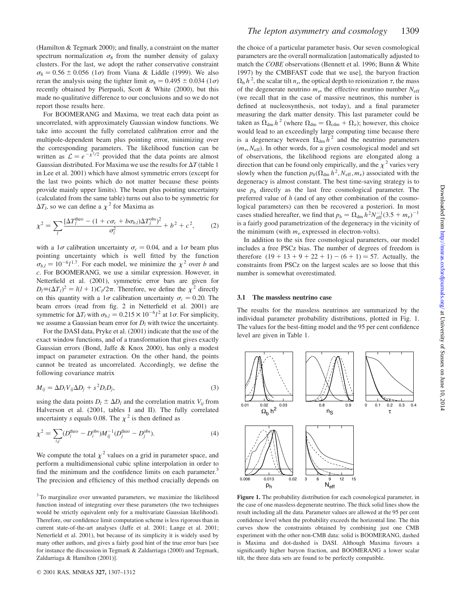(Hamilton & Tegmark 2000); and finally, a constraint on the matter spectrum normalization  $\sigma_8$  from the number density of galaxy clusters. For the last, we adopt the rather conservative constraint  $\sigma_8 = 0.56 \pm 0.056$  (1 $\sigma$ ) from Viana & Liddle (1999). We also reran the analysis using the tighter limit  $\sigma_8 = 0.495 \pm 0.034$  (1 $\sigma$ ) recently obtained by Pierpaoli, Scott & White (2000), but this made no qualitative difference to our conclusions and so we do not report those results here.

For BOOMERANG and Maxima, we treat each data point as uncorrelated, with approximately Gaussian window functions. We take into account the fully correlated calibration error and the multipole-dependent beam plus pointing error, minimizing over the corresponding parameters. The likelihood function can be written as  $\mathcal{L} = e^{-\chi^2/2}$  provided that the data points are almost Gaussian distributed. For Maxima we use the results for  $\Delta T$  (table 1) in Lee et al. 2001) which have almost symmetric errors (except for the last two points which do not matter because these points provide mainly upper limits). The beam plus pointing uncertainty (calculated from the same table) turns out also to be symmetric for  $\Delta T_l$ , so we can define a  $\chi^2$  for Maxima as

$$
\chi^2 = \sum_{l} \frac{[\Delta T_l^{\text{theo}} - (1 + c\sigma_c + b\sigma_{b,l})\Delta T_l^{\text{obs}}]^2}{\sigma_l^2} + b^2 + c^2, \tag{2}
$$

with a 1 $\sigma$  calibration uncertainty  $\sigma_c = 0.04$ , and a 1 $\sigma$  beam plus pointing uncertainty which is well fitted by the function  $\sigma_{b,l} = 10^{-6}l^{1.7}$ . For each model, we minimize the  $\chi^2$  over b and c. For BOOMERANG, we use a similar expression. However, in Netterfield et al. (2001), symmetric error bars are given for  $D_l = (\Delta T_l)^2 = l(l+1)C_l/2\pi$ . Therefore, we define the  $\chi^2$  directly on this quantity with a  $1\sigma$  calibration uncertainty  $\sigma_c = 0.20$ . The beam errors (read from fig. 2 in Netterfield et al. 2001) are symmetric for  $\Delta T_l$  with  $\sigma_{b,l} = 0.215 \times 10^{-6} l^2$  at  $1\sigma$ . For simplicity, we assume a Gaussian beam error for  $D_l$  with twice the uncertainty.

For the DASI data, Pryke et al. (2001) indicate that the use of the exact window functions, and of a transformation that gives exactly Gaussian errors (Bond, Jaffe & Knox 2000), has only a modest impact on parameter extraction. On the other hand, the points cannot be treated as uncorrelated. Accordingly, we define the following covariance matrix

$$
M_{ij} = \Delta D_i V_{ij} \Delta D_j + s^2 D_i D_j,
$$
\n(3)

using the data points  $D_l \pm \Delta D_l$  and the correlation matrix  $V_{ij}$  from Halverson et al. (2001, tables I and II). The fully correlated uncertainty s equals 0.08. The  $\chi^2$  is then defined as

$$
\chi^2 = \sum_{i,j} (D_i^{\text{theo}} - D_i^{\text{obs}}) M_{ij}^{-1} (D_j^{\text{theo}} - D_j^{\text{obs}}). \tag{4}
$$

We compute the total  $\chi^2$  values on a grid in parameter space, and perform a multidimensional cubic spline interpolation in order to find the minimum and the confidence limits on each parameter.<sup>3</sup> The precision and efficiency of this method crucially depends on

<sup>3</sup>To marginalize over unwanted parameters, we maximize the likelihood function instead of integrating over these parameters (the two techniques would be strictly equivalent only for a multivariate Gaussian likelihood). Therefore, our confidence limit computation scheme is less rigorous than in current state-of-the-art analyses (Jaffe et al. 2001; Lange et al. 2001; Netterfield et al. 2001), but because of its simplicity it is widely used by many other authors, and gives a fairly good hint of the true error bars [see for instance the discussion in Tegmark & Zaldarriaga (2000) and Tegmark, Zaldarriaga & Hamilton (2001)].

the choice of a particular parameter basis. Our seven cosmological parameters are the overall normalization [automatically adjusted to match the COBE observations (Bennett et al. 1996; Bunn & White 1997) by the CMBFAST code that we use], the baryon fraction  $\Omega_{\rm b} h^2$ , the scalar tilt  $n_s$ , the optical depth to reionization  $\tau$ , the mass of the degenerate neutrino  $m_{\nu}$ , the effective neutrino number  $N_{\text{eff}}$ (we recall that in the case of massive neutrinos, this number is defined at nucleosynthesis, not today), and a final parameter measuring the dark matter density. This last parameter could be taken as  $\Omega_{dm} h^2$  (where  $\Omega_{dm} = \Omega_{cdm} + \Omega_{\nu}$ ); however, this choice would lead to an exceedingly large computing time because there is a degeneracy between  $\Omega_{dm} h^2$  and the neutrino parameters  $(m_{\nu},N_{\text{eff}})$ . In other words, for a given cosmological model and set of observations, the likelihood regions are elongated along a direction that can be found only empirically, and the  $\chi^2$  varies very slowly when the function  $p_h(\Omega_{\text{dm}} h^2, N_{\text{eff}}, m_\nu)$  associated with the degeneracy is almost constant. The best time-saving strategy is to use  $p_h$  directly as the last free cosmological parameter. The preferred value of h (and of any other combination of the cosmological parameters) can then be recovered a posteriori. In most cases studied hereafter, we find that  $p_h = \Omega_{dm} \hat{h}^2 N_{eff}^{-1} (3.5 + m_\nu)^{-1}$ is a fairly good parametrization of the degeneracy in the vicinity of the minimum (with  $m_{\nu}$  expressed in electron-volts).

In addition to the six free cosmological parameters, our model includes a free PSCz bias. The number of degrees of freedom is therefore  $(19 + 13 + 9 + 22 + 1) - (6 + 1) = 57$ . Actually, the constraints from PSCz on the largest scales are so loose that this number is somewhat overestimated.

#### 3.1 The massless neutrino case

The results for the massless neutrinos are summarized by the individual parameter probability distributions, plotted in Fig. 1. The values for the best-fitting model and the 95 per cent confidence level are given in Table 1.



Figure 1. The probability distribution for each cosmological parameter, in the case of one massless degenerate neutrino. The thick solid lines show the result including all the data. Parameter values are allowed at the 95 per cent confidence level when the probability exceeds the horizontal line. The thin curves show the constraints obtained by combining just one CMB experiment with the other non-CMB data: solid is BOOMERANG, dashed is Maxima and dot-dashed is DASI. Although Maxima favours a significantly higher baryon fraction, and BOOMERANG a lower scalar tilt, the three data sets are found to be perfectly compatible.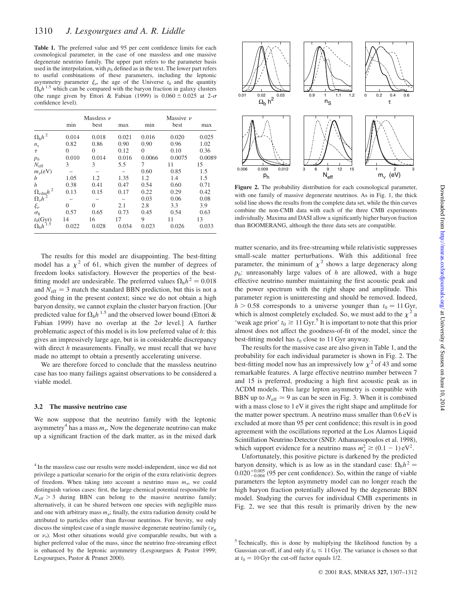Table 1. The preferred value and 95 per cent confidence limits for each cosmological parameter, in the case of one massless and one massive degenerate neutrino family. The upper part refers to the parameter basis used in the interpolation, with  $p_h$  defined as in the text. The lower part refers to useful combinations of these parameters, including the leptonic asymmetry parameter  $\xi_{\nu}$ , the age of the Universe  $t_0$  and the quantity  $\Omega_{\rm b}h$ <sup>1.5</sup> which can be compared with the baryon fraction in galaxy clusters (the range given by Ettori & Fabian (1999) is  $0.060 \pm 0.025$  at  $2-\sigma$ confidence level).

|                          | min      | Massless $\nu$<br>best | max   | min      | Massive $\nu$<br>best | max    |
|--------------------------|----------|------------------------|-------|----------|-----------------------|--------|
| $\Omega_{\rm b}h$ $^2$   | 0.014    | 0.018                  | 0.021 | 0.016    | 0.020                 | 0.025  |
| $n_{\rm s}$              | 0.82     | 0.86                   | 0.90  | 0.90     | 0.96                  | 1.02   |
| $\tau$                   | 0        | $\theta$               | 0.12  | $\Omega$ | 0.10                  | 0.36   |
| $p_h$                    | 0.010    | 0.014                  | 0.016 | 0.0066   | 0.0075                | 0.0089 |
| $N_{\rm eff}$            | 3        | 3                      | 5.5   | 7        | 11                    | 15     |
| $m_{\nu}$ (eV)           |          |                        |       | 0.60     | 0.85                  | 1.5    |
| b                        | 1.05     | 1.2                    | 1.35  | 1.2      | 1.4                   | 1.5    |
| $\boldsymbol{h}$         | 0.38     | 0.41                   | 0.47  | 0.54     | 0.60                  | 0.71   |
| $\Omega_{\rm cdm}h$ $^2$ | 0.13     | 0.15                   | 0.17  | 0.22     | 0.29                  | 0.42   |
| $\Omega_\nu h^2$         |          |                        |       | 0.03     | 0.06                  | 0.08   |
| $\xi_{\nu}$              | $\Omega$ | $\theta$               | 2.1   | 2.8      | 3.3                   | 3.9    |
| $\sigma_8$               | 0.57     | 0.65                   | 0.73  | 0.45     | 0.54                  | 0.63   |
| $t_0(Gyr)$               | 14       | 16                     | 17    | 9        | 11                    | 13     |
| $\Omega_{h}h$            | 0.022    | 0.028                  | 0.034 | 0.023    | 0.026                 | 0.033  |

The results for this model are disappointing. The best-fitting model has a  $\chi^2$  of 61, which given the number of degrees of freedom looks satisfactory. However the properties of the bestfitting model are undesirable. The preferred values  $\Omega_b h^2 = 0.018$ and  $N_{\text{eff}} = 3$  match the standard BBN prediction, but this is not a good thing in the present context; since we do not obtain a high baryon density, we cannot explain the cluster baryon fraction. [Our predicted value for  $\Omega_{\rm b}h^{1.5}$  and the observed lower bound (Ettori & Fabian 1999) have no overlap at the  $2\sigma$  level.] A further problematic aspect of this model is its low preferred value of h: this gives an impressively large age, but is in considerable discrepancy with direct  $h$  measurements. Finally, we must recall that we have made no attempt to obtain a presently accelerating universe.

We are therefore forced to conclude that the massless neutrino case has too many failings against observations to be considered a viable model.

#### 3.2 The massive neutrino case

We now suppose that the neutrino family with the leptonic asymmetry<sup>4</sup> has a mass  $m_{\nu}$ . Now the degenerate neutrino can make up a significant fraction of the dark matter, as in the mixed dark



Figure 2. The probability distribution for each cosmological parameter, with one family of massive degenerate neutrinos. As in Fig. 1, the thick solid line shows the results from the complete data set, while the thin curves combine the non-CMB data with each of the three CMB experiments individually. Maxima and DASI allow a significantly higher baryon fraction than BOOMERANG, although the three data sets are compatible.

matter scenario, and its free-streaming while relativistic suppresses small-scale matter perturbations. With this additional free parameter, the minimum of  $\chi^2$  shows a large degeneracy along  $p_h$ : unreasonably large values of h are allowed, with a huge effective neutrino number maintaining the first acoustic peak and the power spectrum with the right shape and amplitude. This parameter region is uninteresting and should be removed. Indeed,  $h > 0.58$  corresponds to a universe younger than  $t_0 = 11$  Gyr, which is almost completely excluded. So, we must add to the  $\chi^2$  a 'weak age prior'  $t_0 \ge 11$  Gyr.<sup>5</sup> It is important to note that this prior almost does not affect the goodness-of-fit of the model, since the best-fitting model has  $t_0$  close to 11 Gyr anyway.

The results for the massive case are also given in Table 1, and the probability for each individual parameter is shown in Fig. 2. The best-fitting model now has an impressively low  $\chi^2$  of 43 and some remarkable features. A large effective neutrino number between 7 and 15 is preferred, producing a high first acoustic peak as in LCDM models. This large lepton asymmetry is compatible with BBN up to  $N_{\text{eff}} \approx 9$  as can be seen in Fig. 3. When it is combined with a mass close to 1 eV it gives the right shape and amplitude for the matter power spectrum. A neutrino mass smaller than 0.6 eV is excluded at more than 95 per cent confidence; this result is in good agreement with the oscillations reported at the Los Alamos Liquid Scintillation Neutrino Detector (SND: Athanassopoulos et al. 1998), which support evidence for a neutrino mass  $m_{\nu}^2 \ge (0.1 - 1) \text{ eV}^2$ .

Unfortunately, this positive picture is darkened by the predicted baryon density, which is as low as in the standard case:  $\Omega_b h^2 =$  $0.020^{+0.005}_{-0.004}$  (95 per cent confidence). So, within the range of viable parameters the lepton asymmetry model can no longer reach the high baryon fraction potentially allowed by the degenerate BBN model. Studying the curves for individual CMB experiments in Fig. 2, we see that this result is primarily driven by the new

<sup>&</sup>lt;sup>4</sup> In the massless case our results were model-independent, since we did not privilege a particular scenario for the origin of the extra relativistic degrees of freedom. When taking into account a neutrino mass  $m_{\nu}$ , we could distinguish various cases: first, the large chemical potential responsible for  $N_{\text{eff}} > 3$  during BBN can belong to the massive neutrino family; alternatively, it can be shared between one species with negligible mass and one with arbitrary mass  $m_{\nu}$ ; finally, the extra radiation density could be attributed to particles other than flavour neutrinos. For brevity, we only discuss the simplest case of a single massive degenerate neutrino family  $(v_{\mu})$ or  $\nu_{\tau}$ ). Most other situations would give comparable results, but with a higher preferred value of the mass, since the neutrino free-streaming effect is enhanced by the leptonic asymmetry (Lesgourgues & Pastor 1999; Lesgourgues, Pastor & Prunet 2000).

<sup>&</sup>lt;sup>5</sup>Technically, this is done by multiplying the likelihood function by a Gaussian cut-off, if and only if  $t_0 \le 11$  Gyr. The variance is chosen so that at  $t_0 = 10$  Gyr the cut-off factor equals 1/2.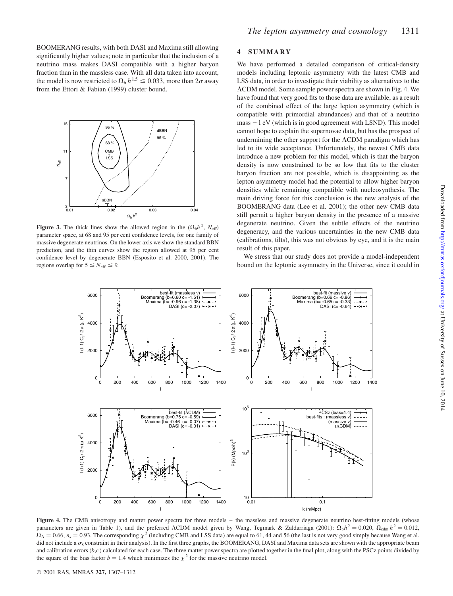BOOMERANG results, with both DASI and Maxima still allowing significantly higher values; note in particular that the inclusion of a neutrino mass makes DASI compatible with a higher baryon fraction than in the massless case. With all data taken into account, the model is now restricted to  $\Omega_b h^{1.5} \le 0.033$ , more than  $2\sigma$  away from the Ettori & Fabian (1999) cluster bound.



**Figure 3.** The thick lines show the allowed region in the  $(\Omega_b h^2, N_{\text{eff}})$ parameter space, at 68 and 95 per cent confidence levels, for one family of massive degenerate neutrinos. On the lower axis we show the standard BBN prediction, and the thin curves show the region allowed at 95 per cent confidence level by degenerate BBN (Esposito et al. 2000, 2001). The regions overlap for  $5 \leq N_{\text{eff}} \leq 9$ .

#### 4 SUMMARY

We have performed a detailed comparison of critical-density models including leptonic asymmetry with the latest CMB and LSS data, in order to investigate their viability as alternatives to the LCDM model. Some sample power spectra are shown in Fig. 4. We have found that very good fits to those data are available, as a result of the combined effect of the large lepton asymmetry (which is compatible with primordial abundances) and that of a neutrino mass  $\sim$ 1 eV (which is in good agreement with LSND). This model cannot hope to explain the supernovae data, but has the prospect of undermining the other support for the  $\Lambda$ CDM paradigm which has led to its wide acceptance. Unfortunately, the newest CMB data introduce a new problem for this model, which is that the baryon density is now constrained to be so low that fits to the cluster baryon fraction are not possible, which is disappointing as the lepton asymmetry model had the potential to allow higher baryon densities while remaining compatible with nucleosynthesis. The main driving force for this conclusion is the new analysis of the BOOMERANG data (Lee et al. 2001); the other new CMB data still permit a higher baryon density in the presence of a massive degenerate neutrino. Given the subtle effects of the neutrino degeneracy, and the various uncertainties in the new CMB data (calibrations, tilts), this was not obvious by eye, and it is the main result of this paper.

We stress that our study does not provide a model-independent bound on the leptonic asymmetry in the Universe, since it could in



Figure 4. The CMB anisotropy and matter power spectra for three models – the massless and massive degenerate neutrino best-fitting models (whose parameters are given in Table 1), and the preferred ACDM model given by Wang, Tegmark & Zaldarriaga (2001):  $\Omega_b h^2 = 0.020$ ,  $\Omega_{\text{cdm}} h^2 = 0.012$ ,  $\Omega_{\Lambda} = 0.66$ ,  $n_s = 0.93$ . The corresponding  $\chi^2$  (including CMB and LSS data) are equal to 61, 44 and 56 (the last is not very good simply because Wang et al. did not include a  $\sigma_8$  constraint in their analysis). In the first three graphs, the BOOMERANG, DASI and Maxima data sets are shown with the appropriate beam and calibration errors  $(b, c)$  calculated for each case. The three matter power spectra are plotted together in the final plot, along with the PSCz points divided by the square of the bias factor  $b = 1.4$  which minimizes the  $\chi^2$  for the massive neutrino model.